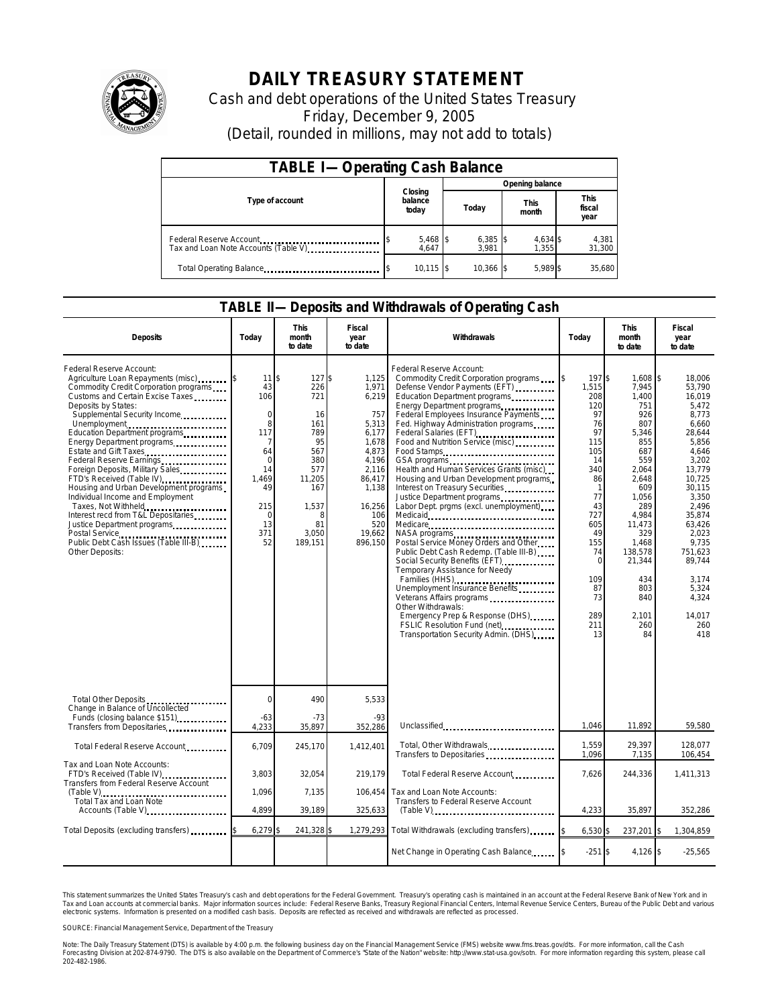

# **DAILY TREASURY STATEMENT**

Cash and debt operations of the United States Treasury Friday, December 9, 2005 (Detail, rounded in millions, may not add to totals)

| <b>TABLE I-Operating Cash Balance</b>                           |                   |                                          |                   |                               |  |  |  |
|-----------------------------------------------------------------|-------------------|------------------------------------------|-------------------|-------------------------------|--|--|--|
|                                                                 |                   | Opening balance                          |                   |                               |  |  |  |
| Type of account                                                 | balance<br>today  | Closing<br><b>This</b><br>Today<br>month |                   | <b>This</b><br>fiscal<br>year |  |  |  |
| Federal Reserve Account<br>Tax and Loan Note Accounts (Table V) | 5,468 \$<br>4.647 | $6,385$ \$<br>3.981                      | 4,634 \$<br>1.355 | 4,381<br>31,300               |  |  |  |
| Total Operating Balance                                         | $10,115$ \$       | 10.366 \$                                | 5.989 \$          | 35.680                        |  |  |  |

### **TABLE II—Deposits and Withdrawals of Operating Cash**

| <b>Deposits</b>                                                                                                                                                                                                                                                                                                                                                                                                                                                                                                                                                                                                                                | Today                                                                                                                              | <b>This</b><br>month<br>to date                                                                                                 | Fiscal<br>year<br>to date                                                                                                                                  | Withdrawals                                                                                                                                                                                                                                                                                                                                                                                                                                                                                                                                                                                                                                                                                                                                                                                                                                                                                                                                              | Today                                                                                                                                                                                    | <b>This</b><br>month<br>to date                                                                                                                                                                                           | Fiscal<br>year<br>to date                                                                                                                                                                                                                                |
|------------------------------------------------------------------------------------------------------------------------------------------------------------------------------------------------------------------------------------------------------------------------------------------------------------------------------------------------------------------------------------------------------------------------------------------------------------------------------------------------------------------------------------------------------------------------------------------------------------------------------------------------|------------------------------------------------------------------------------------------------------------------------------------|---------------------------------------------------------------------------------------------------------------------------------|------------------------------------------------------------------------------------------------------------------------------------------------------------|----------------------------------------------------------------------------------------------------------------------------------------------------------------------------------------------------------------------------------------------------------------------------------------------------------------------------------------------------------------------------------------------------------------------------------------------------------------------------------------------------------------------------------------------------------------------------------------------------------------------------------------------------------------------------------------------------------------------------------------------------------------------------------------------------------------------------------------------------------------------------------------------------------------------------------------------------------|------------------------------------------------------------------------------------------------------------------------------------------------------------------------------------------|---------------------------------------------------------------------------------------------------------------------------------------------------------------------------------------------------------------------------|----------------------------------------------------------------------------------------------------------------------------------------------------------------------------------------------------------------------------------------------------------|
| Federal Reserve Account:<br>Agriculture Loan Repayments (misc)<br>Commodity Credit Corporation programs<br>Customs and Certain Excise Taxes<br>Deposits by States:<br>Supplemental Security Income<br>Unemployment<br>Education Department programs<br>Energy Department programs<br>Estate and Gift Taxes<br>Federal Reserve Earnings<br>Foreign Deposits, Military Sales<br>FTD's Received (Table IV)<br>Housing and Urban Development programs<br>Individual Income and Employment<br>Taxes, Not Withheld<br>Interest recd from T&L Depositaries<br>Justice Department programs<br>Public Debt Cash Issues (Table III-B)<br>Other Deposits: | 11<br>43<br>106<br>$\mathbf 0$<br>8<br>117<br>7<br>64<br>$\mathbf 0$<br>14<br>1,469<br>49<br>215<br>$\mathbf 0$<br>13<br>371<br>52 | 127<br>\$<br>226<br>721<br>16<br>161<br>789<br>95<br>567<br>380<br>577<br>11,205<br>167<br>1,537<br>8<br>81<br>3,050<br>189,151 | 1,125<br>\$<br>1,971<br>6,219<br>757<br>5,313<br>6,177<br>1,678<br>4,873<br>4,196<br>2,116<br>86,417<br>1,138<br>16,256<br>106<br>520<br>19,662<br>896,150 | Federal Reserve Account:<br>Commodity Credit Corporation programs<br>Defense Vendor Payments (EFT)<br>Education Department programs<br>Energy Department programs<br>Federal Employees Insurance Payments<br>Fed. Highway Administration programs<br>Federal Salaries (EFT)<br>Food and Nutrition Service (misc)<br>Food Stamps<br>Health and Human Services Grants (misc)<br>Housing and Urban Development programs<br>Interest on Treasury Securities<br>Justice Department programs<br>Labor Dept. prgms (excl. unemployment)<br>Medicare<br>Postal Service Money Orders and Other<br>Public Debt Cash Redemp. (Table III-B)<br>Social Security Benefits (EFT)<br><br>Temporary Assistance for Needy<br>Families (HHS)<br>Unemployment Insurance Benefits<br>Veterans Affairs programs<br>Other Withdrawals:<br>Emergency Prep & Response (DHS)<br>FSLIC Resolution Fund (net)<br>FSLIC Resolution Fund (net)<br>Transportation Security Admin. (DHS) | 197\$<br>1.515<br>208<br>120<br>97<br>76<br>97<br>115<br>105<br>14<br>340<br>86<br>-1<br>77<br>43<br>727<br>605<br>49<br>155<br>74<br>$\mathbf 0$<br>109<br>87<br>73<br>289<br>211<br>13 | 1,608 \$<br>7,945<br>1,400<br>751<br>926<br>807<br>5,346<br>855<br>687<br>559<br>2,064<br>2,648<br>609<br>1,056<br>289<br>4,984<br>11,473<br>329<br>1,468<br>138,578<br>21,344<br>434<br>803<br>840<br>2.101<br>260<br>84 | 18,006<br>53.790<br>16,019<br>5.472<br>8,773<br>6,660<br>28,644<br>5,856<br>4,646<br>3,202<br>13,779<br>10.725<br>30.115<br>3,350<br>2,496<br>35,874<br>63.426<br>2,023<br>9,735<br>751.623<br>89,744<br>3,174<br>5,324<br>4,324<br>14.017<br>260<br>418 |
| Total Other Deposits<br>Change in Balance of Uncollected                                                                                                                                                                                                                                                                                                                                                                                                                                                                                                                                                                                       | $\Omega$                                                                                                                           | 490                                                                                                                             | 5,533                                                                                                                                                      |                                                                                                                                                                                                                                                                                                                                                                                                                                                                                                                                                                                                                                                                                                                                                                                                                                                                                                                                                          |                                                                                                                                                                                          |                                                                                                                                                                                                                           |                                                                                                                                                                                                                                                          |
| Funds (closing balance \$151)<br>Transfers from Depositaries                                                                                                                                                                                                                                                                                                                                                                                                                                                                                                                                                                                   | $-63$<br>4,233                                                                                                                     | $-73$<br>35,897                                                                                                                 | $-93$<br>352,286                                                                                                                                           | Unclassified                                                                                                                                                                                                                                                                                                                                                                                                                                                                                                                                                                                                                                                                                                                                                                                                                                                                                                                                             | 1,046                                                                                                                                                                                    | 11,892                                                                                                                                                                                                                    | 59,580                                                                                                                                                                                                                                                   |
| Total Federal Reserve Account                                                                                                                                                                                                                                                                                                                                                                                                                                                                                                                                                                                                                  | 6,709                                                                                                                              | 245,170                                                                                                                         | 1.412.401                                                                                                                                                  | Total, Other Withdrawals<br>Transfers to Depositaries                                                                                                                                                                                                                                                                                                                                                                                                                                                                                                                                                                                                                                                                                                                                                                                                                                                                                                    | 1.559<br>1,096                                                                                                                                                                           | 29.397<br>7,135                                                                                                                                                                                                           | 128.077<br>106,454                                                                                                                                                                                                                                       |
| Tax and Loan Note Accounts:<br>FTD's Received (Table IV)<br>Transfers from Federal Reserve Account                                                                                                                                                                                                                                                                                                                                                                                                                                                                                                                                             | 3.803<br>1.096                                                                                                                     | 32,054<br>7.135                                                                                                                 | 219.179<br>106.454                                                                                                                                         | Total Federal Reserve Account<br>Tax and Loan Note Accounts:                                                                                                                                                                                                                                                                                                                                                                                                                                                                                                                                                                                                                                                                                                                                                                                                                                                                                             | 7,626                                                                                                                                                                                    | 244,336                                                                                                                                                                                                                   | 1,411,313                                                                                                                                                                                                                                                |
| Total Tax and Loan Note<br>Accounts (Table V)                                                                                                                                                                                                                                                                                                                                                                                                                                                                                                                                                                                                  | 4,899                                                                                                                              | 39,189                                                                                                                          | 325,633                                                                                                                                                    | Transfers to Federal Reserve Account<br>$(Table V)$ <sub>11111111111111111111111111111111</sub> 111                                                                                                                                                                                                                                                                                                                                                                                                                                                                                                                                                                                                                                                                                                                                                                                                                                                      | 4,233                                                                                                                                                                                    | 35,897                                                                                                                                                                                                                    | 352,286                                                                                                                                                                                                                                                  |
| Total Deposits (excluding transfers)                                                                                                                                                                                                                                                                                                                                                                                                                                                                                                                                                                                                           | 6,279                                                                                                                              | 241,328                                                                                                                         |                                                                                                                                                            | 1,279,293 Total Withdrawals (excluding transfers)                                                                                                                                                                                                                                                                                                                                                                                                                                                                                                                                                                                                                                                                                                                                                                                                                                                                                                        | $6,530$ \$                                                                                                                                                                               | 237,201                                                                                                                                                                                                                   | 1.304.859                                                                                                                                                                                                                                                |
|                                                                                                                                                                                                                                                                                                                                                                                                                                                                                                                                                                                                                                                |                                                                                                                                    |                                                                                                                                 |                                                                                                                                                            | Net Change in Operating Cash Balance                                                                                                                                                                                                                                                                                                                                                                                                                                                                                                                                                                                                                                                                                                                                                                                                                                                                                                                     | $-251S$                                                                                                                                                                                  | $4,126$ \$                                                                                                                                                                                                                | $-25,565$                                                                                                                                                                                                                                                |

This statement summarizes the United States Treasury's cash and debt operations for the Federal Government. Treasury's operating cash is maintained in an account at the Federal Reserve Bank of New York and in<br>Tax and Loan

SOURCE: Financial Management Service, Department of the Treasury

Note: The Daily Treasury Statement (DTS) is available by 4:00 p.m. the following business day on the Financial Management Service (FMS) website www.fms.treas.gov/dts. For more information, call the Cash<br>Forecasting Divisio 202-482-1986.